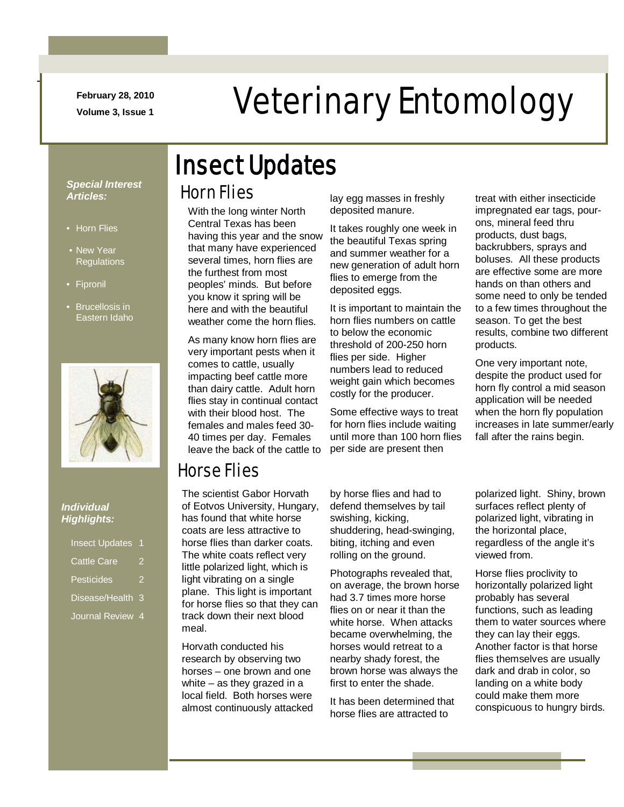**February 28, 2010**

## February 28, 2010<br>Veterinary Entomology

## Insect Updates

### Horn Flies

With the long winter North Central Texas has been having this year and the snow that many have experienced several times, horn flies are the furthest from most peoples' minds. But before you know it spring will be here and with the beautiful weather come the horn flies.

As many know horn flies are very important pests when it comes to cattle, usually impacting beef cattle more than dairy cattle. Adult horn flies stay in continual contact with their blood host. The females and males feed 30- 40 times per day. Females leave the back of the cattle to lay egg masses in freshly deposited manure.

It takes roughly one week in the beautiful Texas spring and summer weather for a new generation of adult horn flies to emerge from the deposited eggs.

It is important to maintain the horn flies numbers on cattle to below the economic threshold of 200-250 horn flies per side. Higher numbers lead to reduced weight gain which becomes costly for the producer.

Some effective ways to treat for horn flies include waiting until more than 100 horn flies per side are present then

treat with either insecticide impregnated ear tags, pourons, mineral feed thru products, dust bags, backrubbers, sprays and boluses. All these products are effective some are more hands on than others and some need to only be tended to a few times throughout the season. To get the best results, combine two different products.

One very important note, despite the product used for horn fly control a mid season application will be needed when the horn fly population increases in late summer/early fall after the rains begin.

### *Special Interest Articles:*

• Horn Flies

-

- New Year **Regulations**
- Fipronil
- Brucellosis in Eastern Idaho



#### *Individual Highlights:*

| <b>Insect Updates</b> |   |
|-----------------------|---|
| <b>Cattle Care</b>    | 2 |
| Pesticides            | 2 |
| Disease/Health        | 3 |
| <b>Journal Review</b> | 4 |

### Horse Flies

The scientist Gabor Horvath of Eotvos University, Hungary, has found that white horse coats are less attractive to horse flies than darker coats. The white coats reflect very little polarized light, which is light vibrating on a single plane. This light is important for horse flies so that they can track down their next blood meal.

Horvath conducted his research by observing two horses – one brown and one white – as they grazed in a local field. Both horses were almost continuously attacked by horse flies and had to defend themselves by tail swishing, kicking, shuddering, head-swinging, biting, itching and even rolling on the ground.

Photographs revealed that, on average, the brown horse had 3.7 times more horse flies on or near it than the white horse. When attacks became overwhelming, the horses would retreat to a nearby shady forest, the brown horse was always the first to enter the shade.

It has been determined that horse flies are attracted to

polarized light. Shiny, brown surfaces reflect plenty of polarized light, vibrating in the horizontal place, regardless of the angle it's viewed from.

Horse flies proclivity to horizontally polarized light probably has several functions, such as leading them to water sources where they can lay their eggs. Another factor is that horse flies themselves are usually dark and drab in color, so landing on a white body could make them more conspicuous to hungry birds.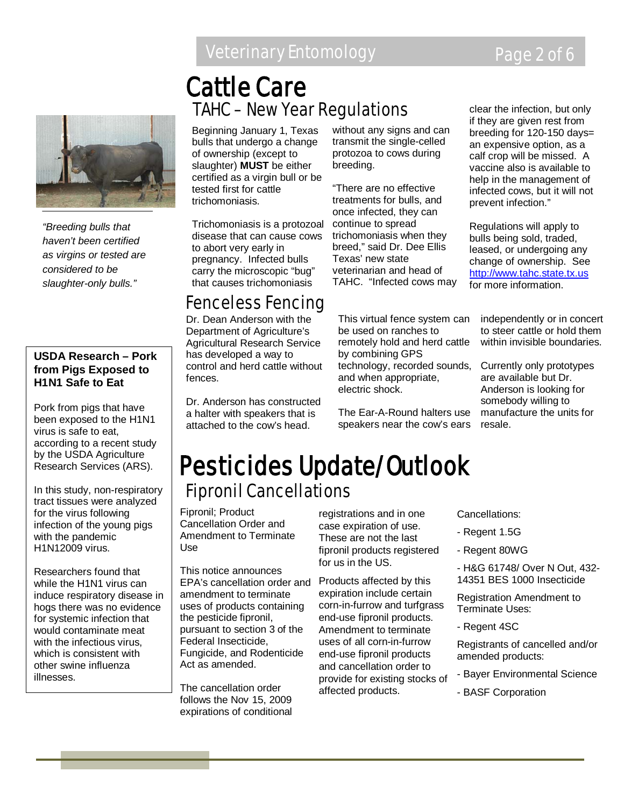### Veterinary Entomology **Page 2 of 6**



*"Breeding bulls that haven't been certified as virgins or tested are considered to be slaughter-only bulls."*

#### **USDA Research – Pork from Pigs Exposed to H1N1 Safe to Eat**

Pork from pigs that have been exposed to the H1N1 virus is safe to eat, according to a recent study by the USDA Agriculture Research Services (ARS).

In this study, non-respiratory tract tissues were analyzed for the virus following infection of the young pigs with the pandemic H1N12009 virus.

Researchers found that while the H1N1 virus can induce respiratory disease in hogs there was no evidence for systemic infection that would contaminate meat with the infectious virus, which is consistent with other swine influenza illnesses.

### TAHC – New Year Regulations Cattle Care

Beginning January 1, Texas bulls that undergo a change of ownership (except to slaughter) **MUST** be either certified as a virgin bull or be tested first for cattle trichomoniasis.

Trichomoniasis is a protozoal disease that can cause cows to abort very early in pregnancy. Infected bulls carry the microscopic "bug" that causes trichomoniasis

treatments for bulls, and once infected, they can continue to spread trichomoniasis when they breed," said Dr. Dee Ellis

breeding.

Texas' new state veterinarian and head of TAHC. "Infected cows may

without any signs and can transmit the single-celled protozoa to cows during

"There are no effective

clear the infection, but only if they are given rest from breeding for 120-150 days= an expensive option, as a calf crop will be missed. A vaccine also is available to help in the management of infected cows, but it will not prevent infection."

Regulations will apply to bulls being sold, traded, leased, or undergoing any change of ownership. See [http://www.tahc.state.tx.us](http://www.tahc.state.tx.us/) for more information.

### Fenceless Fencing

Dr. Dean Anderson with the Department of Agriculture's Agricultural Research Service has developed a way to control and herd cattle without fences.

Dr. Anderson has constructed a halter with speakers that is attached to the cow's head.

This virtual fence system can be used on ranches to remotely hold and herd cattle by combining GPS technology, recorded sounds, and when appropriate, electric shock.

The Ear-A-Round halters use speakers near the cow's ears independently or in concert to steer cattle or hold them within invisible boundaries.

Currently only prototypes are available but Dr. Anderson is looking for somebody willing to manufacture the units for resale.

### Fipronil Cancellations Pesticides Update/Outlook

Fipronil; Product Cancellation Order and Amendment to Terminate Use

This notice announces EPA's cancellation order and amendment to terminate uses of products containing the pesticide fipronil, pursuant to section 3 of the Federal Insecticide, Fungicide, and Rodenticide Act as amended.

The cancellation order follows the Nov 15, 2009 expirations of conditional registrations and in one case expiration of use. These are not the last fipronil products registered for us in the US.

Products affected by this expiration include certain corn-in-furrow and turfgrass end-use fipronil products. Amendment to terminate uses of all corn-in-furrow end-use fipronil products and cancellation order to provide for existing stocks of affected products.

Cancellations:

- Regent 1.5G
- Regent 80WG
- H&G 61748/ Over N Out, 432- 14351 BES 1000 Insecticide

Registration Amendment to Terminate Uses:

- Regent 4SC

Registrants of cancelled and/or amended products:

- Bayer Environmental Science
- BASF Corporation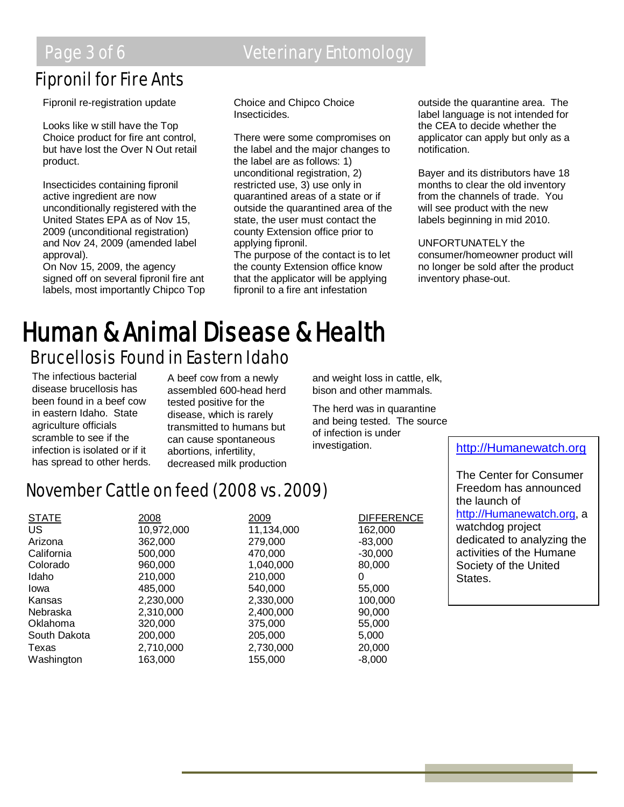### Fipronil for Fire Ants

Fipronil re-registration update

Looks like w still have the Top Choice product for fire ant control, but have lost the Over N Out retail product.

Insecticides containing fipronil active ingredient are now unconditionally registered with the United States EPA as of Nov 15, 2009 (unconditional registration) and Nov 24, 2009 (amended label approval).

On Nov 15, 2009, the agency signed off on several fipronil fire ant labels, most importantly Chipco Top

### Page 3 of 6 **Veterinary Entomology**

Choice and Chipco Choice Insecticides.

There were some compromises on the label and the major changes to the label are as follows: 1) unconditional registration, 2) restricted use, 3) use only in quarantined areas of a state or if outside the quarantined area of the state, the user must contact the county Extension office prior to applying fipronil.

The purpose of the contact is to let the county Extension office know that the applicator will be applying fipronil to a fire ant infestation

outside the quarantine area. The label language is not intended for the CEA to decide whether the applicator can apply but only as a notification.

Bayer and its distributors have 18 months to clear the old inventory from the channels of trade. You will see product with the new labels beginning in mid 2010.

UNFORTUNATELY the consumer/homeowner product will no longer be sold after the product inventory phase-out.

# **Human & Animal Disease & Health**<br>Brucellosis Found in Eastern Idaho

The infectious bacterial disease brucellosis has been found in a beef cow in eastern Idaho. State agriculture officials scramble to see if the infection is isolated or if it has spread to other herds.

A beef cow from a newly assembled 600-head herd tested positive for the disease, which is rarely transmitted to humans but can cause spontaneous abortions, infertility, decreased milk production and weight loss in cattle, elk, bison and other mammals.

The herd was in quarantine and being tested. The source of infection is under

### November Cattle on feed (2008 vs. 2009)

| <b>STATE</b> | 2008       | 2009       | <b>DIFFERENCE</b> |
|--------------|------------|------------|-------------------|
| <b>US</b>    | 10,972,000 | 11,134,000 | 162,000           |
| Arizona      | 362,000    | 279,000    | $-83,000$         |
| California   | 500,000    | 470,000    | $-30,000$         |
| Colorado     | 960,000    | 1,040,000  | 80,000            |
| Idaho        | 210,000    | 210,000    | 0                 |
| Iowa         | 485,000    | 540,000    | 55,000            |
| Kansas       | 2,230,000  | 2,330,000  | 100,000           |
| Nebraska     | 2,310,000  | 2,400,000  | 90,000            |
| Oklahoma     | 320,000    | 375,000    | 55,000            |
| South Dakota | 200,000    | 205,000    | 5,000             |
| Texas        | 2,710,000  | 2,730,000  | 20,000            |
| Washington   | 163,000    | 155,000    | $-8,000$          |

investigation. [http://Humanewatch.org](http://humanewatch.org/)

The Center for Consumer Freedom has announced the launch of [http://Humanewatch.org,](http://humanewatch.org/) a watchdog project dedicated to analyzing the activities of the Humane Society of the United States.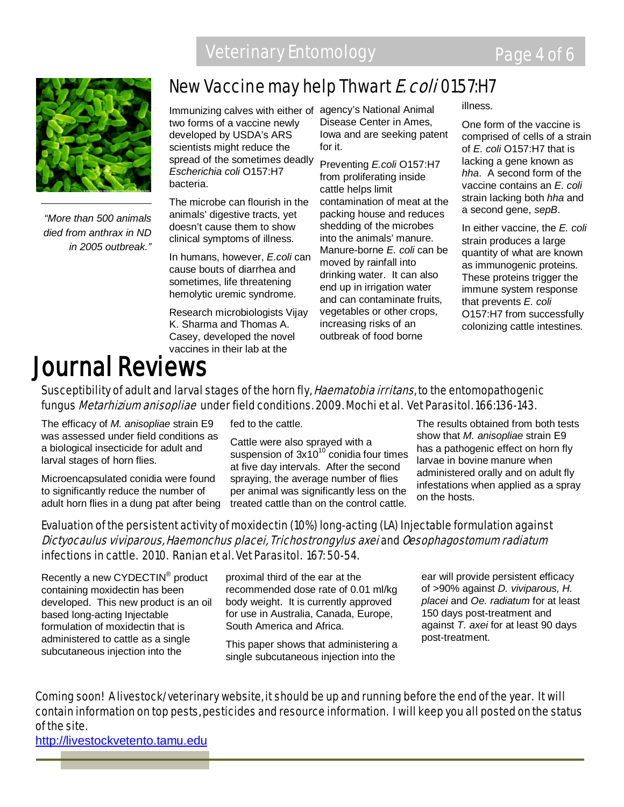

*"More than 500 animals died from anthrax in ND in 2005 outbreak."*

### New Vaccine may help Thwart E. coli 0157:H7

Immunizing calves with either of agency's National Animal two forms of a vaccine newly developed by USDA's ARS scientists might reduce the spread of the sometimes deadly *Escherichia coli* O157:H7 bacteria.

The microbe can flourish in the animals' digestive tracts, yet doesn't cause them to show clinical symptoms of illness.

In humans, however, *E.coli* can cause bouts of diarrhea and sometimes, life threatening hemolytic uremic syndrome.

Research microbiologists Vijay K. Sharma and Thomas A. Casey, developed the novel vaccines in their lab at the

Disease Center in Ames, Iowa and are seeking patent for it.

Preventing *E.coli* O157:H7 from proliferating inside cattle helps limit contamination of meat at the packing house and reduces shedding of the microbes into the animals' manure. Manure-borne *E. coli* can be moved by rainfall into drinking water. It can also end up in irrigation water and can contaminate fruits, vegetables or other crops, increasing risks of an outbreak of food borne

illness.

One form of the vaccine is comprised of cells of a strain of *E. coli* O157:H7 that is lacking a gene known as *hha*. A second form of the vaccine contains an *E. coli* strain lacking both *hha* and a second gene, *sepB*.

In either vaccine, the *E. coli* strain produces a large quantity of what are known as immunogenic proteins. These proteins trigger the immune system response that prevents *E. coli* O157:H7 from successfully colonizing cattle intestines.

## Journal Reviews

### Susceptibility of adult and larval stages of the horn fly, *Haematobia irritans*, to the entomopathogenic fungus *Metarhizium anisopliae* under field conditions. 2009. Mochi et al. Vet Parasitol. 166:136-143.

The efficacy of *M. anisopliae* strain E9 was assessed under field conditions as a biological insecticide for adult and larval stages of horn flies.

Microencapsulated conidia were found to significantly reduce the number of adult horn flies in a dung pat after being fed to the cattle.

Cattle were also sprayed with a suspension of  $3x10^{10}$  conidia four times at five day intervals. After the second spraying, the average number of flies per animal was significantly less on the treated cattle than on the control cattle.

The results obtained from both tests show that *M. anisopliae* strain E9 has a pathogenic effect on horn fly larvae in bovine manure when administered orally and on adult fly infestations when applied as a spray on the hosts.

### Evaluation of the persistent activity of moxidectin (10%) long-acting (LA) Injectable formulation against Dictyocaulus viviparous, Haemonchus placei, Trichostrongylus axei and Oesophagostomum radiatum infections in cattle. 2010. Ranjan et al. Vet Parasitol. 167: 50-54.

Recently a new CYDECTIN<sup>®</sup> product containing moxidectin has been developed. This new product is an oil based long-acting Injectable formulation of moxidectin that is administered to cattle as a single subcutaneous injection into the

proximal third of the ear at the recommended dose rate of 0.01 ml/kg body weight. It is currently approved for use in Australia, Canada, Europe, South America and Africa.

This paper shows that administering a single subcutaneous injection into the

ear will provide persistent efficacy of >90% against *D. viviparous, H. placei* and *Oe. radiatum* for at least 150 days post-treatment and against *T. axei* for at least 90 days post-treatment.

Coming soon! A livestock/veterinary website, it should be up and running before the end of the year. It will contain information on top pests, pesticides and resource information. I will keep you all posted on the status of the site.

[http://livestockvetento.tamu.edu](http://livestockvetento.tamu.edu/)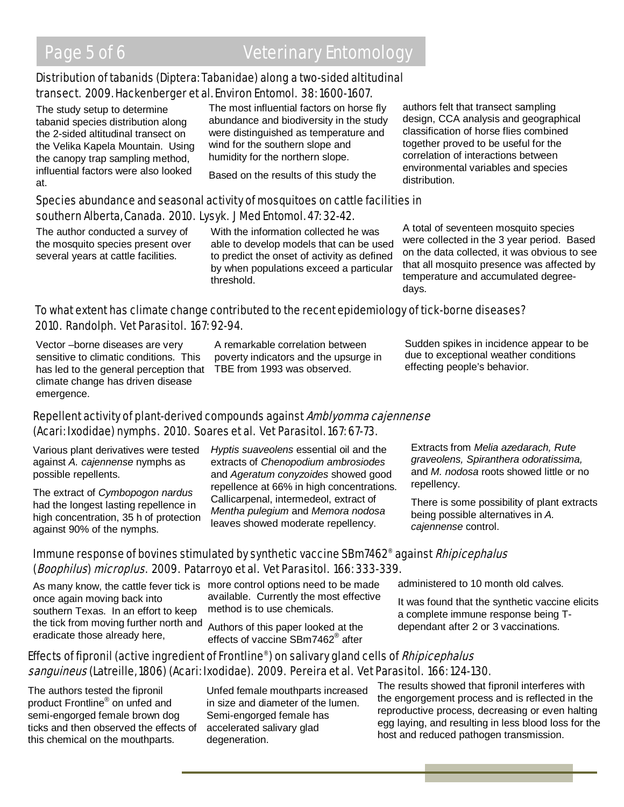### Distribution of tabanids (Diptera: Tabanidae) along a two-sided altitudinal transect. 2009. Hackenberger et al. Environ Entomol. 38: 1600-1607.

The study setup to determine tabanid species distribution along the 2-sided altitudinal transect on the Velika Kapela Mountain. Using the canopy trap sampling method, influential factors were also looked at.

The most influential factors on horse fly abundance and biodiversity in the study were distinguished as temperature and wind for the southern slope and humidity for the northern slope.

Based on the results of this study the

authors felt that transect sampling design, CCA analysis and geographical classification of horse flies combined together proved to be useful for the correlation of interactions between environmental variables and species distribution.

#### Species abundance and seasonal activity of mosquitoes on cattle facilities in southern Alberta, Canada. 2010. Lysyk. J Med Entomol. 47: 32-42.

The author conducted a survey of the mosquito species present over several years at cattle facilities.

With the information collected he was able to develop models that can be used to predict the onset of activity as defined by when populations exceed a particular threshold.

A total of seventeen mosquito species were collected in the 3 year period. Based on the data collected, it was obvious to see that all mosquito presence was affected by temperature and accumulated degreedays.

### To what extent has climate change contributed to the recent epidemiology of tick-borne diseases? 2010. Randolph. Vet Parasitol. 167: 92-94.

Vector –borne diseases are very sensitive to climatic conditions. This has led to the general perception that TBE from 1993 was observed. climate change has driven disease emergence.

A remarkable correlation between poverty indicators and the upsurge in Sudden spikes in incidence appear to be due to exceptional weather conditions effecting people's behavior.

### Repellent activity of plant-derived compounds against Amblyomma cajennense (Acari: Ixodidae) nymphs. 2010. Soares et al. Vet Parasitol. 167: 67-73.

Various plant derivatives were tested against *A. cajennense* nymphs as possible repellents.

The extract of *Cymbopogon nardus* had the longest lasting repellence in high concentration, 35 h of protection against 90% of the nymphs.

*Hyptis suaveolens* essential oil and the extracts of *Chenopodium ambrosiodes* and *Ageratum conyzoides* showed good repellence at 66% in high concentrations. Callicarpenal, intermedeol, extract of *Mentha pulegium* and *Memora nodosa* leaves showed moderate repellency.

Extracts from *Melia azedarach, Rute graveolens, Spiranthera odoratissima,*  and *M. nodosa* roots showed little or no repellency.

There is some possibility of plant extracts being possible alternatives in *A. cajennense* control.

### Immune response of bovines stimulated by synthetic vaccine SBm7462<sup>®</sup> against *Rhipicephalus* (Boophilus) microplus. 2009. Patarroyo et al. Vet Parasitol. 166: 333-339.

once again moving back into southern Texas. In an effort to keep the tick from moving further north and eradicate those already here,

As many know, the cattle fever tick is more control options need to be made available. Currently the most effective method is to use chemicals.

> Authors of this paper looked at the effects of vaccine SBm7462® after

administered to 10 month old calves.

It was found that the synthetic vaccine elicits a complete immune response being Tdependant after 2 or 3 vaccinations.

### Effects of fipronil (active ingredient of Frontline®) on salivary gland cells of Rhipicephalus sanguineus (Latreille, 1806) (Acari: Ixodidae). 2009. Pereira et al. Vet Parasitol. 166: 124-130.

The authors tested the fipronil product Frontline® on unfed and semi-engorged female brown dog ticks and then observed the effects of this chemical on the mouthparts.

Unfed female mouthparts increased in size and diameter of the lumen. Semi-engorged female has accelerated salivary glad degeneration.

The results showed that fipronil interferes with the engorgement process and is reflected in the reproductive process, decreasing or even halting egg laying, and resulting in less blood loss for the host and reduced pathogen transmission.